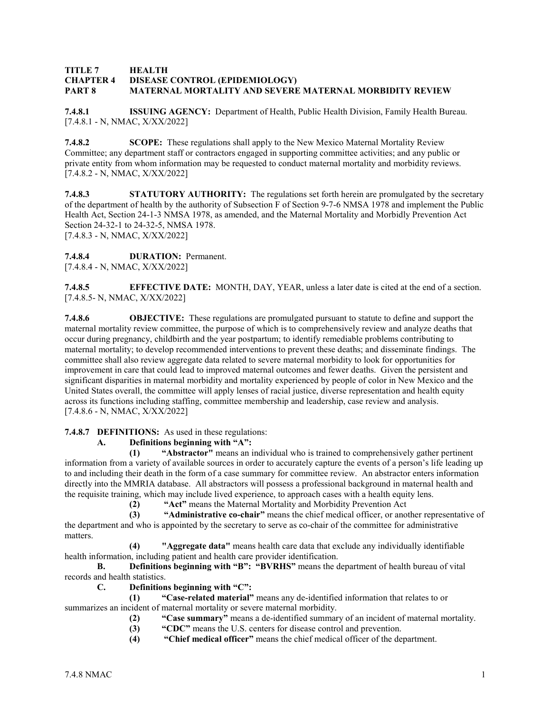#### **TITLE 7 HEALTH CHAPTER 4 DISEASE CONTROL (EPIDEMIOLOGY) PART 8 MATERNAL MORTALITY AND SEVERE MATERNAL MORBIDITY REVIEW**

**7.4.8.1 ISSUING AGENCY:** Department of Health, Public Health Division, Family Health Bureau. [7.4.8.1 - N, NMAC, X/XX/2022]

**7.4.8.2 SCOPE:** These regulations shall apply to the New Mexico Maternal Mortality Review Committee; any department staff or contractors engaged in supporting committee activities; and any public or private entity from whom information may be requested to conduct maternal mortality and morbidity reviews. [7.4.8.2 - N, NMAC, X/XX/2022]

**7.4.8.3 STATUTORY AUTHORITY:** The regulations set forth herein are promulgated by the secretary of the department of health by the authority of Subsection F of Section 9-7-6 NMSA 1978 and implement the Public Health Act, Section 24-1-3 NMSA 1978, as amended, and the Maternal Mortality and Morbidly Prevention Act Section 24-32-1 to 24-32-5, NMSA 1978.

[7.4.8.3 - N, NMAC, X/XX/2022]

# **7.4.8.4 DURATION:** Permanent.

[7.4.8.4 - N, NMAC, X/XX/2022]

**7.4.8.5 EFFECTIVE DATE:** MONTH, DAY, YEAR, unless a later date is cited at the end of a section. [7.4.8.5- N, NMAC, X/XX/2022]

**7.4.8.6 OBJECTIVE:** These regulations are promulgated pursuant to statute to define and support the maternal mortality review committee, the purpose of which is to comprehensively review and analyze deaths that occur during pregnancy, childbirth and the year postpartum; to identify remediable problems contributing to maternal mortality; to develop recommended interventions to prevent these deaths; and disseminate findings. The committee shall also review aggregate data related to severe maternal morbidity to look for opportunities for improvement in care that could lead to improved maternal outcomes and fewer deaths. Given the persistent and significant disparities in maternal morbidity and mortality experienced by people of color in New Mexico and the United States overall, the committee will apply lenses of racial justice, diverse representation and health equity across its functions including staffing, committee membership and leadership, case review and analysis. [7.4.8.6 - N, NMAC, X/XX/2022]

## **7.4.8.7 DEFINITIONS:** As used in these regulations:

# **A. Definitions beginning with "A":**

**(1) "Abstractor"** means an individual who is trained to comprehensively gather pertinent information from a variety of available sources in order to accurately capture the events of a person's life leading up to and including their death in the form of a case summary for committee review. An abstractor enters information directly into the MMRIA database. All abstractors will possess a professional background in maternal health and the requisite training, which may include lived experience, to approach cases with a health equity lens.

**(2) "Act"** means the Maternal Mortality and Morbidity Prevention Act

**(3) "Administrative co-chair"** means the chief medical officer, or another representative of the department and who is appointed by the secretary to serve as co-chair of the committee for administrative matters.

**(4) "Aggregate data"** means health care data that exclude any individually identifiable health information, including patient and health care provider identification.

**B. Definitions beginning with "B": "BVRHS"** means the department of health bureau of vital records and health statistics.

**C. Definitions beginning with "C":**

**(1) "Case-related material"** means any de-identified information that relates to or summarizes an incident of maternal mortality or severe maternal morbidity.

- **(2) "Case summary"** means a de-identified summary of an incident of maternal mortality.
- **(3) "CDC"** means the U.S. centers for disease control and prevention.
- **(4) "Chief medical officer"** means the chief medical officer of the department.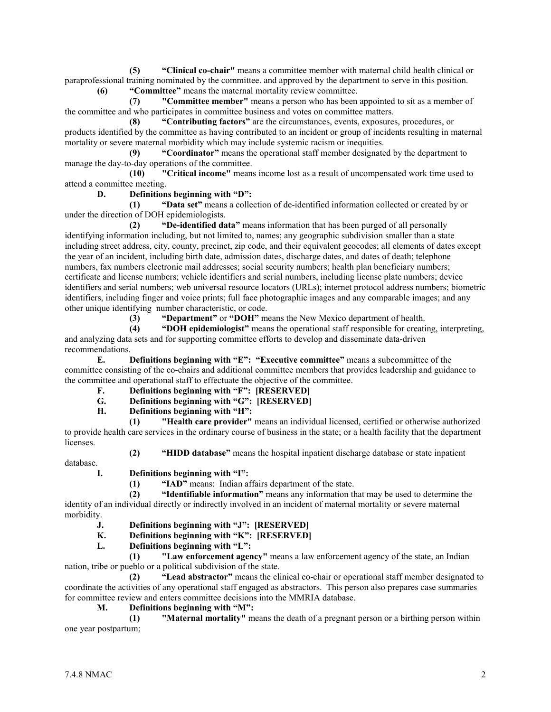**(5) "Clinical co-chair"** means a committee member with maternal child health clinical or paraprofessional training nominated by the committee. and approved by the department to serve in this position. **(6) "Committee"** means the maternal mortality review committee.

**(7) "Committee member"** means a person who has been appointed to sit as a member of the committee and who participates in committee business and votes on committee matters.

**(8) "Contributing factors"** are the circumstances, events, exposures, procedures, or products identified by the committee as having contributed to an incident or group of incidents resulting in maternal mortality or severe maternal morbidity which may include systemic racism or inequities.

**(9) "Coordinator"** means the operational staff member designated by the department to manage the day-to-day operations of the committee.

**(10) "Critical income"** means income lost as a result of uncompensated work time used to attend a committee meeting.

## **D. Definitions beginning with "D":**

**(1) "Data set"** means a collection of de-identified information collected or created by or under the direction of DOH epidemiologists.

**(2) "De-identified data"** means information that has been purged of all personally identifying information including, but not limited to, names; any geographic subdivision smaller than a state including street address, city, county, precinct, zip code, and their equivalent geocodes; all elements of dates except the year of an incident, including birth date, admission dates, discharge dates, and dates of death; telephone numbers, fax numbers electronic mail addresses; social security numbers; health plan beneficiary numbers; certificate and license numbers; vehicle identifiers and serial numbers, including license plate numbers; device identifiers and serial numbers; web universal resource locators (URLs); internet protocol address numbers; biometric identifiers, including finger and voice prints; full face photographic images and any comparable images; and any other unique identifying number characteristic, or code.

**(3) "Department"** or **"DOH"** means the New Mexico department of health.

**(4) "DOH epidemiologist"** means the operational staff responsible for creating, interpreting, and analyzing data sets and for supporting committee efforts to develop and disseminate data-driven recommendations.

**E. Definitions beginning with "E": "Executive committee"** means a subcommittee of the committee consisting of the co-chairs and additional committee members that provides leadership and guidance to the committee and operational staff to effectuate the objective of the committee.

- **F. Definitions beginning with "F": [RESERVED]**
- **G. Definitions beginning with "G": [RESERVED]**
- **H. Definitions beginning with "H":**

**(1) "Health care provider"** means an individual licensed, certified or otherwise authorized to provide health care services in the ordinary course of business in the state; or a health facility that the department licenses.

- database.
- **(2) "HIDD database"** means the hospital inpatient discharge database or state inpatient

**I. Definitions beginning with "I":**

**(1) "IAD"** means: Indian affairs department of the state.

**(2) "Identifiable information"** means any information that may be used to determine the identity of an individual directly or indirectly involved in an incident of maternal mortality or severe maternal morbidity.

- **J. Definitions beginning with "J": [RESERVED]**<br>**K. Definitions beginning with "K": [RESERVED]**
- Definitions beginning with "K": [RESERVED]
- **L. Definitions beginning with "L":**

**(1) "Law enforcement agency"** means a law enforcement agency of the state, an Indian nation, tribe or pueblo or a political subdivision of the state.

**(2) "Lead abstractor"** means the clinical co-chair or operational staff member designated to coordinate the activities of any operational staff engaged as abstractors. This person also prepares case summaries for committee review and enters committee decisions into the MMRIA database.

**M. Definitions beginning with "M":**

**(1) "Maternal mortality"** means the death of a pregnant person or a birthing person within one year postpartum;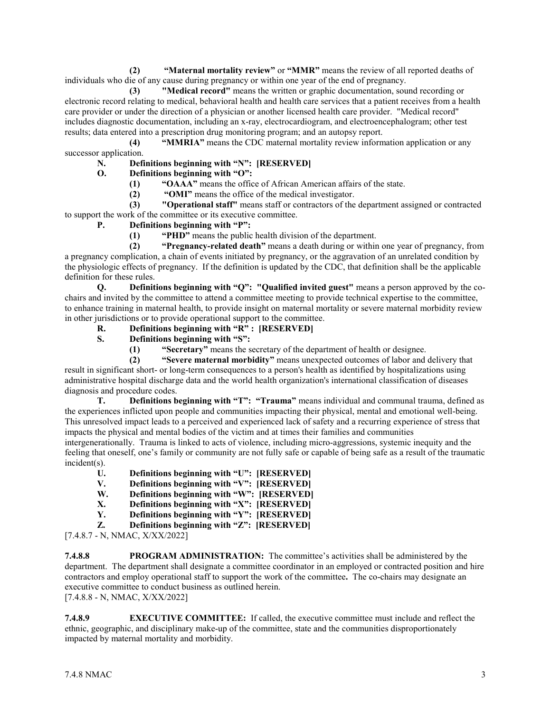**(2) "Maternal mortality review"** or **"MMR"** means the review of all reported deaths of individuals who die of any cause during pregnancy or within one year of the end of pregnancy.

**(3) "Medical record"** means the written or graphic documentation, sound recording or electronic record relating to medical, behavioral health and health care services that a patient receives from a health care provider or under the direction of a physician or another licensed health care provider. "Medical record" includes diagnostic documentation, including an x-ray, electrocardiogram, and electroencephalogram; other test results; data entered into a prescription drug monitoring program; and an autopsy report.

**(4) "MMRIA"** means the CDC maternal mortality review information application or any successor application.

**N. Definitions beginning with "N": [RESERVED]**

- **O. Definitions beginning with "O":**
	- **(1) "OAAA"** means the office of African American affairs of the state.

**(2) "OMI"** means the office of the medical investigator.

**(3) "Operational staff"** means staff or contractors of the department assigned or contracted to support the work of the committee or its executive committee.

## **P. Definitions beginning with "P":**

**(1) "PHD"** means the public health division of the department.

**(2) "Pregnancy-related death"** means a death during or within one year of pregnancy, from a pregnancy complication, a chain of events initiated by pregnancy, or the aggravation of an unrelated condition by the physiologic effects of pregnancy. If the definition is updated by the CDC, that definition shall be the applicable definition for these rules.

**Q. Definitions beginning with "Q": "Qualified invited guest"** means a person approved by the cochairs and invited by the committee to attend a committee meeting to provide technical expertise to the committee, to enhance training in maternal health, to provide insight on maternal mortality or severe maternal morbidity review in other jurisdictions or to provide operational support to the committee.

**R. Definitions beginning with "R" : [RESERVED]**

- **S. Definitions beginning with "S":**
	- **(1) "Secretary"** means the secretary of the department of health or designee.

**(2) "Severe maternal morbidity"** means unexpected outcomes of labor and delivery that result in significant short- or long-term consequences to a person's health as identified by hospitalizations using administrative hospital discharge data and the world health organization's international classification of diseases diagnosis and procedure codes.

**T. Definitions beginning with "T": "Trauma"** means individual and communal trauma, defined as the experiences inflicted upon people and communities impacting their physical, mental and emotional well-being. This unresolved impact leads to a perceived and experienced lack of safety and a recurring experience of stress that impacts the physical and mental bodies of the victim and at times their families and communities

intergenerationally. Trauma is linked to acts of violence, including micro-aggressions, systemic inequity and the feeling that oneself, one's family or community are not fully safe or capable of being safe as a result of the traumatic incident(s).

- U. Definitions beginning with "U": [RESERVED]<br>V. Definitions beginning with "V": [RESERVED]
- Definitions beginning with "V": [RESERVED]
- **W.** Definitions beginning with "W": [RESERVED]<br>X. Definitions beginning with "X": [RESERVED]
- Definitions beginning with "X": [RESERVED]
- **Y. Definitions beginning with "Y": [RESERVED]**
- **Z. Definitions beginning with "Z": [RESERVED]**

[7.4.8.7 - N, NMAC, X/XX/2022]

**7.4.8.8 PROGRAM ADMINISTRATION:** The committee's activities shall be administered by the department. The department shall designate a committee coordinator in an employed or contracted position and hire contractors and employ operational staff to support the work of the committee**.** The co-chairs may designate an executive committee to conduct business as outlined herein. [7.4.8.8 - N, NMAC, X/XX/2022]

**7.4.8.9 EXECUTIVE COMMITTEE:** If called, the executive committee must include and reflect the ethnic, geographic, and disciplinary make-up of the committee, state and the communities disproportionately impacted by maternal mortality and morbidity.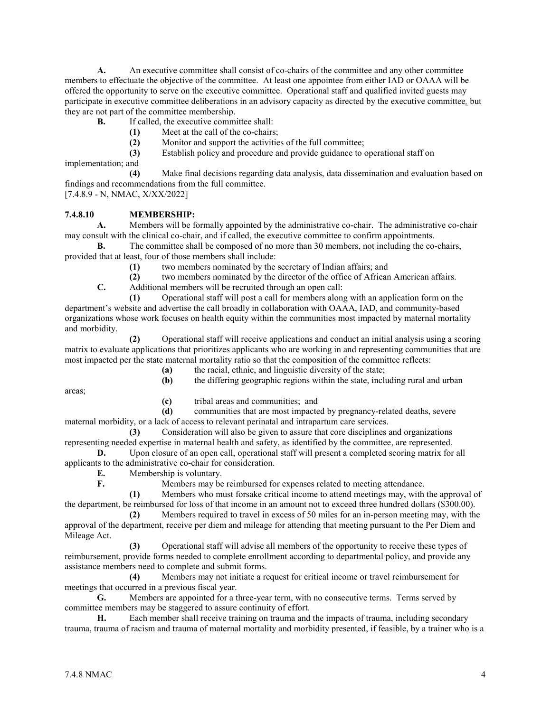**A.** An executive committee shall consist of co-chairs of the committee and any other committee members to effectuate the objective of the committee. At least one appointee from either IAD or OAAA will be offered the opportunity to serve on the executive committee. Operational staff and qualified invited guests may participate in executive committee deliberations in an advisory capacity as directed by the executive committee*,* but they are not part of the committee membership.

- **B.** If called, the executive committee shall:
	- **(1)** Meet at the call of the co-chairs;
	- **(2)** Monitor and support the activities of the full committee;

**(3)** Establish policy and procedure and provide guidance to operational staff on implementation; and

**(4)** Make final decisions regarding data analysis, data dissemination and evaluation based on findings and recommendations from the full committee.

[7.4.8.9 - N, NMAC, X/XX/2022]

## **7.4.8.10 MEMBERSHIP:**

**A.** Members will be formally appointed by the administrative co-chair. The administrative co-chair may consult with the clinical co-chair, and if called, the executive committee to confirm appointments.

**B.** The committee shall be composed of no more than 30 members, not including the co-chairs, provided that at least, four of those members shall include:

**(1)** two members nominated by the secretary of Indian affairs; and

**(2)** two members nominated by the director of the office of African American affairs.

**C.** Additional members will be recruited through an open call:

**(1)** Operational staff will post a call for members along with an application form on the department's website and advertise the call broadly in collaboration with OAAA, IAD, and community-based organizations whose work focuses on health equity within the communities most impacted by maternal mortality and morbidity.

**(2)** Operational staff will receive applications and conduct an initial analysis using a scoring matrix to evaluate applications that prioritizes applicants who are working in and representing communities that are most impacted per the state maternal mortality ratio so that the composition of the committee reflects:

**(a)** the racial, ethnic, and linguistic diversity of the state;

areas;

- **(b)** the differing geographic regions within the state, including rural and urban
- **(c)** tribal areas and communities; and

**(d)** communities that are most impacted by pregnancy-related deaths, severe maternal morbidity, or a lack of access to relevant perinatal and intrapartum care services.

**(3)** Consideration will also be given to assure that core disciplines and organizations representing needed expertise in maternal health and safety, as identified by the committee, are represented.

**D.** Upon closure of an open call, operational staff will present a completed scoring matrix for all applicants to the administrative co-chair for consideration.

**E.** Membership is voluntary.

**F.** Members may be reimbursed for expenses related to meeting attendance.

**(1)** Members who must forsake critical income to attend meetings may, with the approval of the department, be reimbursed for loss of that income in an amount not to exceed three hundred dollars (\$300.00).

**(2)** Members required to travel in excess of 50 miles for an in-person meeting may, with the approval of the department, receive per diem and mileage for attending that meeting pursuant to the Per Diem and Mileage Act.

**(3)** Operational staff will advise all members of the opportunity to receive these types of reimbursement, provide forms needed to complete enrollment according to departmental policy, and provide any assistance members need to complete and submit forms.

**(4)** Members may not initiate a request for critical income or travel reimbursement for meetings that occurred in a previous fiscal year.

**G.** Members are appointed for a three-year term, with no consecutive terms. Terms served by committee members may be staggered to assure continuity of effort.

**H.** Each member shall receive training on trauma and the impacts of trauma, including secondary trauma, trauma of racism and trauma of maternal mortality and morbidity presented, if feasible, by a trainer who is a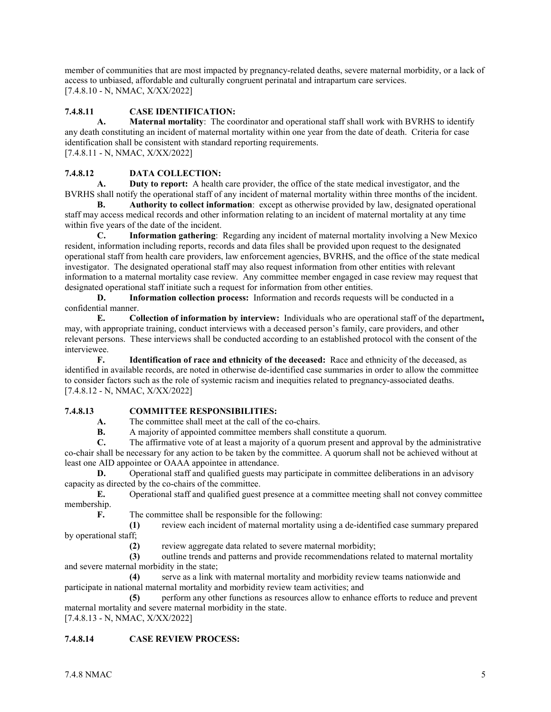member of communities that are most impacted by pregnancy-related deaths, severe maternal morbidity, or a lack of access to unbiased, affordable and culturally congruent perinatal and intrapartum care services. [7.4.8.10 - N, NMAC, X/XX/2022]

# **7.4.8.11 CASE IDENTIFICATION:**

**A. Maternal mortality**: The coordinator and operational staff shall work with BVRHS to identify any death constituting an incident of maternal mortality within one year from the date of death. Criteria for case identification shall be consistent with standard reporting requirements. [7.4.8.11 - N, NMAC, X/XX/2022]

# **7.4.8.12 DATA COLLECTION:**

**A. Duty to report:** A health care provider, the office of the state medical investigator, and the BVRHS shall notify the operational staff of any incident of maternal mortality within three months of the incident.

**B. Authority to collect information**: except as otherwise provided by law, designated operational staff may access medical records and other information relating to an incident of maternal mortality at any time within five years of the date of the incident.

**C. Information gathering**: Regarding any incident of maternal mortality involving a New Mexico resident, information including reports, records and data files shall be provided upon request to the designated operational staff from health care providers, law enforcement agencies, BVRHS, and the office of the state medical investigator. The designated operational staff may also request information from other entities with relevant information to a maternal mortality case review. Any committee member engaged in case review may request that designated operational staff initiate such a request for information from other entities.

**D. Information collection process:** Information and records requests will be conducted in a confidential manner.

**E. Collection of information by interview:** Individuals who are operational staff of the department**,**  may, with appropriate training, conduct interviews with a deceased person's family, care providers, and other relevant persons. These interviews shall be conducted according to an established protocol with the consent of the interviewee.

**F. Identification of race and ethnicity of the deceased:** Race and ethnicity of the deceased, as identified in available records, are noted in otherwise de-identified case summaries in order to allow the committee to consider factors such as the role of systemic racism and inequities related to pregnancy-associated deaths. [7.4.8.12 - N, NMAC, X/XX/2022]

## **7.4.8.13 COMMITTEE RESPONSIBILITIES:**

**A.** The committee shall meet at the call of the co-chairs.<br>**B.** A majority of appointed committee members shall co

**B.** A majority of appointed committee members shall constitute a quorum.

**C.** The affirmative vote of at least a majority of a quorum present and approval by the administrative co-chair shall be necessary for any action to be taken by the committee. A quorum shall not be achieved without at least one AID appointee or OAAA appointee in attendance.

**D.** Operational staff and qualified guests may participate in committee deliberations in an advisory capacity as directed by the co-chairs of the committee.

**E.** Operational staff and qualified guest presence at a committee meeting shall not convey committee membership.

**F.** The committee shall be responsible for the following:

**(1)** review each incident of maternal mortality using a de-identified case summary prepared by operational staff;

**(2)** review aggregate data related to severe maternal morbidity;

**(3)** outline trends and patterns and provide recommendations related to maternal mortality and severe maternal morbidity in the state;

**(4)** serve as a link with maternal mortality and morbidity review teams nationwide and participate in national maternal mortality and morbidity review team activities; and

**(5)** perform any other functions as resources allow to enhance efforts to reduce and prevent maternal mortality and severe maternal morbidity in the state.

[7.4.8.13 - N, NMAC, X/XX/2022]

# **7.4.8.14 CASE REVIEW PROCESS:**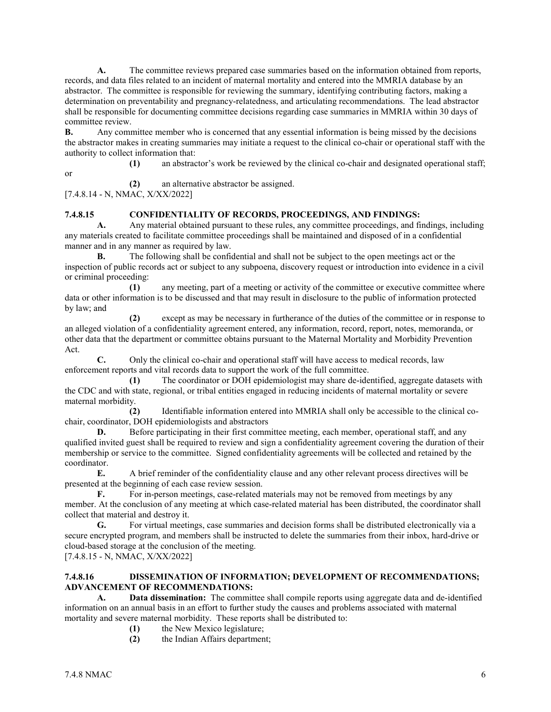**A.** The committee reviews prepared case summaries based on the information obtained from reports, records, and data files related to an incident of maternal mortality and entered into the MMRIA database by an abstractor. The committee is responsible for reviewing the summary, identifying contributing factors, making a determination on preventability and pregnancy-relatedness, and articulating recommendations. The lead abstractor shall be responsible for documenting committee decisions regarding case summaries in MMRIA within 30 days of committee review.

**B.** Any committee member who is concerned that any essential information is being missed by the decisions the abstractor makes in creating summaries may initiate a request to the clinical co-chair or operational staff with the authority to collect information that: **(1)** an abstractor's work be reviewed by the clinical co-chair and designated operational staff;

or

**(2)** an alternative abstractor be assigned.

[7.4.8.14 - N, NMAC, X/XX/2022]

## **7.4.8.15 CONFIDENTIALITY OF RECORDS, PROCEEDINGS, AND FINDINGS:**

**A.** Any material obtained pursuant to these rules, any committee proceedings, and findings, including any materials created to facilitate committee proceedings shall be maintained and disposed of in a confidential manner and in any manner as required by law.

**B.** The following shall be confidential and shall not be subject to the open meetings act or the inspection of public records act or subject to any subpoena, discovery request or introduction into evidence in a civil or criminal proceeding:

**(1)** any meeting, part of a meeting or activity of the committee or executive committee where data or other information is to be discussed and that may result in disclosure to the public of information protected by law; and

**(2)** except as may be necessary in furtherance of the duties of the committee or in response to an alleged violation of a confidentiality agreement entered, any information, record, report, notes, memoranda, or other data that the department or committee obtains pursuant to the Maternal Mortality and Morbidity Prevention Act.

**C.** Only the clinical co-chair and operational staff will have access to medical records, law enforcement reports and vital records data to support the work of the full committee.

**(1)** The coordinator or DOH epidemiologist may share de-identified, aggregate datasets with the CDC and with state, regional, or tribal entities engaged in reducing incidents of maternal mortality or severe maternal morbidity.

**(2)** Identifiable information entered into MMRIA shall only be accessible to the clinical cochair, coordinator, DOH epidemiologists and abstractors

**D.** Before participating in their first committee meeting, each member, operational staff, and any qualified invited guest shall be required to review and sign a confidentiality agreement covering the duration of their membership or service to the committee. Signed confidentiality agreements will be collected and retained by the coordinator.

**E.** A brief reminder of the confidentiality clause and any other relevant process directives will be presented at the beginning of each case review session.

**F.** For in-person meetings, case-related materials may not be removed from meetings by any member. At the conclusion of any meeting at which case-related material has been distributed, the coordinator shall collect that material and destroy it.

**G.** For virtual meetings, case summaries and decision forms shall be distributed electronically via a secure encrypted program, and members shall be instructed to delete the summaries from their inbox, hard-drive or cloud-based storage at the conclusion of the meeting.

[7.4.8.15 - N, NMAC, X/XX/2022]

## **7.4.8.16 DISSEMINATION OF INFORMATION; DEVELOPMENT OF RECOMMENDATIONS; ADVANCEMENT OF RECOMMENDATIONS:**

**A. Data dissemination:** The committee shall compile reports using aggregate data and de-identified information on an annual basis in an effort to further study the causes and problems associated with maternal mortality and severe maternal morbidity. These reports shall be distributed to:

- **(1)** the New Mexico legislature;
- **(2)** the Indian Affairs department;